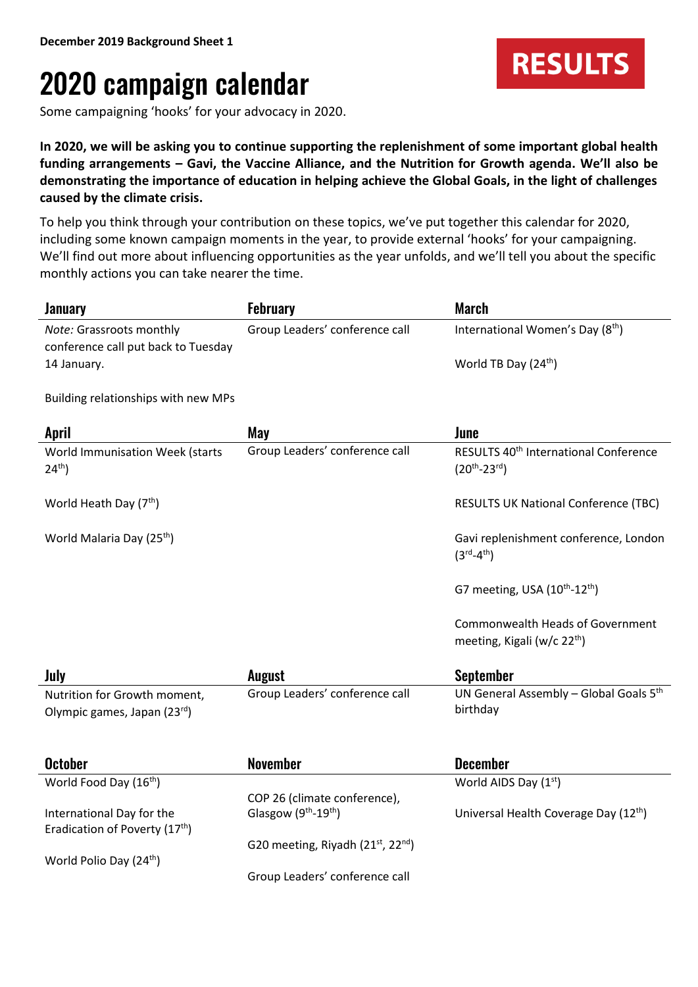## 2020 campaign calendar

Some campaigning 'hooks' for your advocacy in 2020.

**In 2020, we will be asking you to continue supporting the replenishment of some important global health funding arrangements – Gavi, the Vaccine Alliance, and the Nutrition for Growth agenda. We'll also be demonstrating the importance of education in helping achieve the Global Goals, in the light of challenges caused by the climate crisis.**

To help you think through your contribution on these topics, we've put together this calendar for 2020, including some known campaign moments in the year, to provide external 'hooks' for your campaigning. We'll find out more about influencing opportunities as the year unfolds, and we'll tell you about the specific monthly actions you can take nearer the time.

| <b>January</b>                                 | <b>February</b>                                            | March                                                                              |
|------------------------------------------------|------------------------------------------------------------|------------------------------------------------------------------------------------|
| Note: Grassroots monthly                       | Group Leaders' conference call                             | International Women's Day (8th)                                                    |
| conference call put back to Tuesday            |                                                            |                                                                                    |
| 14 January.                                    |                                                            | World TB Day (24 <sup>th</sup> )                                                   |
|                                                |                                                            |                                                                                    |
| Building relationships with new MPs            |                                                            |                                                                                    |
| <b>April</b>                                   | May                                                        | June                                                                               |
| World Immunisation Week (starts<br>$24^{th}$ ) | Group Leaders' conference call                             | RESULTS 40 <sup>th</sup> International Conference<br>$(20^{th} - 23^{rd})$         |
| World Heath Day (7 <sup>th</sup> )             |                                                            | <b>RESULTS UK National Conference (TBC)</b>                                        |
| World Malaria Day (25 <sup>th</sup> )          |                                                            | Gavi replenishment conference, London<br>$(3^{\text{rd}} - 4^{\text{th}})$         |
|                                                |                                                            | G7 meeting, USA (10 <sup>th</sup> -12 <sup>th</sup> )                              |
|                                                |                                                            | <b>Commonwealth Heads of Government</b><br>meeting, Kigali (w/c 22 <sup>th</sup> ) |
| July                                           | <b>August</b>                                              | <b>September</b>                                                                   |
| Nutrition for Growth moment,                   | Group Leaders' conference call                             | UN General Assembly - Global Goals 5th                                             |
| Olympic games, Japan (23rd)                    |                                                            | birthday                                                                           |
|                                                |                                                            |                                                                                    |
| <b>October</b>                                 | <b>November</b>                                            | <b>December</b>                                                                    |
| World Food Day (16 <sup>th</sup> )             |                                                            | World AIDS Day (1st)                                                               |
|                                                | COP 26 (climate conference),                               |                                                                                    |
| International Day for the                      | Glasgow (9th-19th)                                         | Universal Health Coverage Day (12th)                                               |
| Eradication of Poverty (17 <sup>th</sup> )     | G20 meeting, Riyadh (21 <sup>st</sup> , 22 <sup>nd</sup> ) |                                                                                    |
| World Polio Day (24 <sup>th</sup> )            |                                                            |                                                                                    |
|                                                | Group Leaders' conference call                             |                                                                                    |
|                                                |                                                            |                                                                                    |